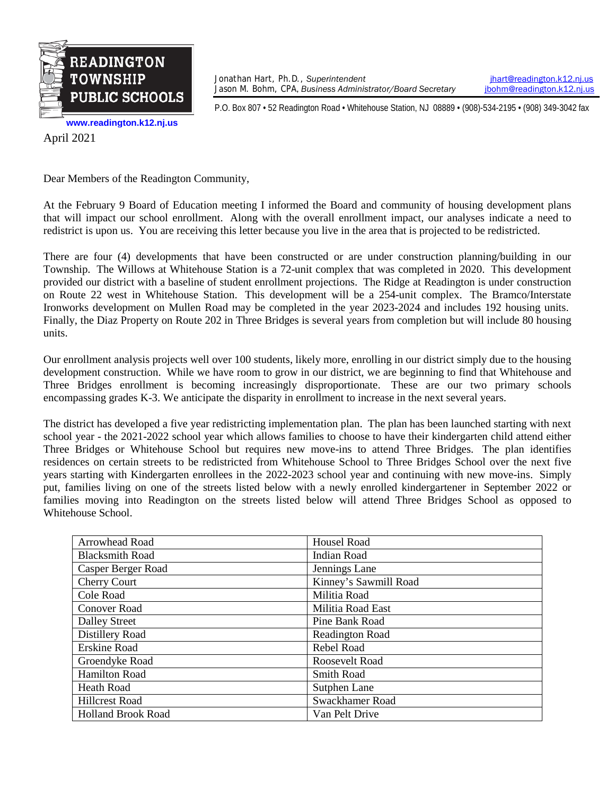

Jonathan Hart, Ph.D., *Superintendent* **index** intervalsion.k12.nj.us<br>Jason M. Bohm, CPA, Business Administrator/Board Secretary **interval and intervalsion** intervalsion.k12.nj.us Jason M. Bohm, CPA, *Business Administrator/Board Secretary* 

P.O. Box 807 • 52 Readington Road • Whitehouse Station, NJ 08889 • (908)-534-2195 • (908) 349-3042 fax

**[www.readington.k12.nj.us](http://www.readington.k12.nj.us/)**

April 2021

Dear Members of the Readington Community,

At the February 9 Board of Education meeting I informed the Board and community of housing development plans that will impact our school enrollment. Along with the overall enrollment impact, our analyses indicate a need to redistrict is upon us. You are receiving this letter because you live in the area that is projected to be redistricted.

There are four (4) developments that have been constructed or are under construction planning/building in our Township. The Willows at Whitehouse Station is a 72-unit complex that was completed in 2020. This development provided our district with a baseline of student enrollment projections. The Ridge at Readington is under construction on Route 22 west in Whitehouse Station. This development will be a 254-unit complex. The Bramco/Interstate Ironworks development on Mullen Road may be completed in the year 2023-2024 and includes 192 housing units. Finally, the Diaz Property on Route 202 in Three Bridges is several years from completion but will include 80 housing units.

Our enrollment analysis projects well over 100 students, likely more, enrolling in our district simply due to the housing development construction. While we have room to grow in our district, we are beginning to find that Whitehouse and Three Bridges enrollment is becoming increasingly disproportionate. These are our two primary schools encompassing grades K-3. We anticipate the disparity in enrollment to increase in the next several years.

The district has developed a five year redistricting implementation plan. The plan has been launched starting with next school year - the 2021-2022 school year which allows families to choose to have their kindergarten child attend either Three Bridges or Whitehouse School but requires new move-ins to attend Three Bridges. The plan identifies residences on certain streets to be redistricted from Whitehouse School to Three Bridges School over the next five years starting with Kindergarten enrollees in the 2022-2023 school year and continuing with new move-ins. Simply put, families living on one of the streets listed below with a newly enrolled kindergartener in September 2022 or families moving into Readington on the streets listed below will attend Three Bridges School as opposed to Whitehouse School.

| Arrowhead Road            | <b>Housel Road</b>     |
|---------------------------|------------------------|
| <b>Blacksmith Road</b>    | <b>Indian Road</b>     |
| Casper Berger Road        | Jennings Lane          |
| <b>Cherry Court</b>       | Kinney's Sawmill Road  |
| Cole Road                 | Militia Road           |
| <b>Conover Road</b>       | Militia Road East      |
| <b>Dalley Street</b>      | Pine Bank Road         |
| Distillery Road           | <b>Readington Road</b> |
| Erskine Road              | Rebel Road             |
| Groendyke Road            | Roosevelt Road         |
| <b>Hamilton Road</b>      | <b>Smith Road</b>      |
| <b>Heath Road</b>         | Sutphen Lane           |
| <b>Hillcrest Road</b>     | Swackhamer Road        |
| <b>Holland Brook Road</b> | Van Pelt Drive         |